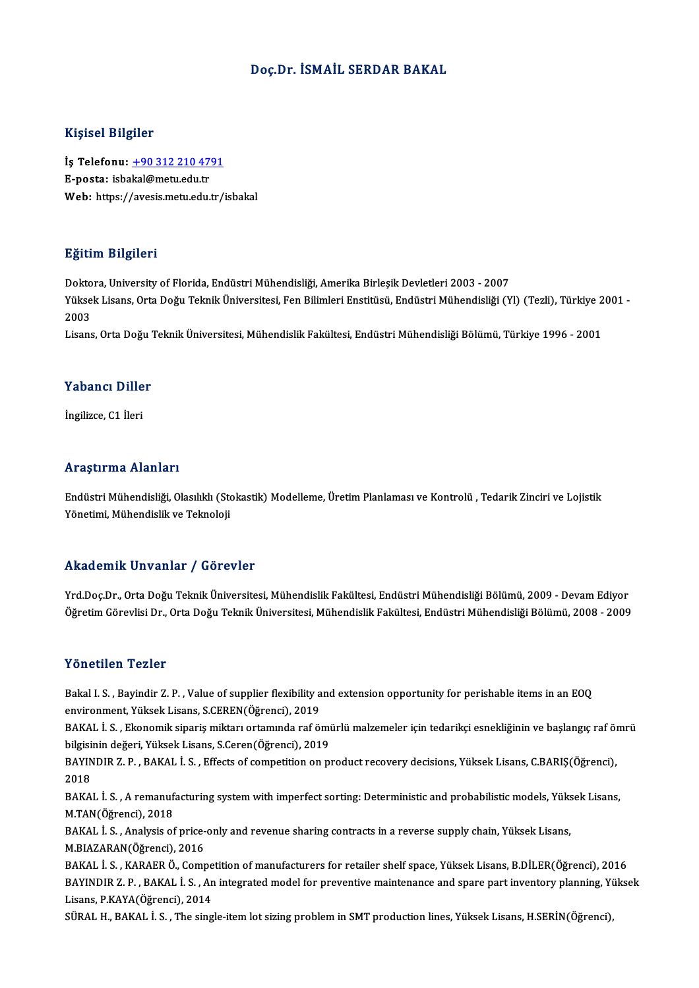## Doç.Dr. İSMAİL SERDAR BAKAL

### Kişisel Bilgiler

Kişisel Bilgiler<br>İş Telefonu: <u>+90 312 210 4791</u><br>E nosta: isbakal@matu.edu.tr 11131021<br>İş Telefonu: <u>+90 312 210 47</u><br>E-posta: isba[kal@metu.edu.tr](tel:+90 312 210 4791)<br>Web: https://avesis.metu.edu.tr E-posta: isbakal@metu.edu.tr<br>Web: https://avesis.metu.edu.tr/isbakal

## Eğitim Bilgileri

Doktora, University of Florida, Endüstri Mühendisliği, Amerika Birleşik Devletleri 2003 - 2007 Sastim Birgirori<br>Doktora, University of Florida, Endüstri Mühendisliği, Amerika Birleşik Devletleri 2003 - 2007<br>Yüksek Lisans, Orta Doğu Teknik Üniversitesi, Fen Bilimleri Enstitüsü, Endüstri Mühendisliği (Yl) (Tezli), Tür Dokto<br>Yükse<br>2003<br>Lisare Yüksek Lisans, Orta Doğu Teknik Üniversitesi, Fen Bilimleri Enstitüsü, Endüstri Mühendisliği (Yl) (Tezli), Türkiye 2<br>2003<br>Lisans, Orta Doğu Teknik Üniversitesi, Mühendislik Fakültesi, Endüstri Mühendisliği Bölümü, Türkiye

Lisans, Orta Doğu Teknik Üniversitesi, Mühendislik Fakültesi, Endüstri Mühendisliği Bölümü, Türkiye 1996 - 2001<br>Yabancı Diller

İngilizce,C1 İleri

## Araştırma Alanları

Endüstri Mühendisliği, Olasılıklı (Stokastik) Modelleme, Üretim Planlaması ve Kontrolü , Tedarik Zinciri ve Lojistik Yönetimi, Mühendislik ve Teknoloji

### Akademik Unvanlar / Görevler

Akademik Unvanlar / Görevler<br>Yrd.Doç.Dr., Orta Doğu Teknik Üniversitesi, Mühendislik Fakültesi, Endüstri Mühendisliği Bölümü, 2009 - Devam Ediyor<br>Öğretim Cörevlisi Dr. Orta Doğu Telmik Üniversitesi Mühendislik Fakültesi, E İskud Olisik Olivalisar 7 "dörevler<br>Yrd.Doç.Dr., Orta Doğu Teknik Üniversitesi, Mühendislik Fakültesi, Endüstri Mühendisliği Bölümü, 2009 - Devam Ediyor<br>Öğretim Görevlisi Dr., Orta Doğu Teknik Üniversitesi, Mühendislik Fak Öğretim Görevlisi Dr., Orta Doğu Teknik Üniversitesi, Mühendislik Fakültesi, Endüstri Mühendisliği Bölümü, 2008 - 2009<br>Yönetilen Tezler

Yönetilen Tezler<br>Bakal I. S. , Bayindir Z. P. , Value of supplier flexibility and extension opportunity for perishable items in an EOQ<br>environment Yüksek Lisans S.CEREN(Öğrensi), 2019 environment<br>Bakal I. S. , Bayindir Z. P. , Value of supplier flexibility a<br>environment, Yüksek Lisans, S.CEREN(Öğrenci), 2019<br>BAKAL İ. S., Flonomik sinaris militarı ortamında raf ö Bakal I. S. , Bayindir Z. P. , Value of supplier flexibility and extension opportunity for perishable items in an EOQ<br>environment, Yüksek Lisans, S.CEREN(Öğrenci), 2019<br>BAKAL İ. S. , Ekonomik sipariş miktarı ortamında raf

environment, Yüksek Lisans, S.CEREN(Öğrenci), 2019<br>BAKAL İ. S. , Ekonomik sipariş miktarı ortamında raf ömi<br>bilgisinin değeri, Yüksek Lisans, S.Ceren(Öğrenci), 2019<br>BAYINDIB Z. B. BAKAL İ. S., Effects of competition on n BAKAL İ. S. , Ekonomik sipariş miktarı ortamında raf ömürlü malzemeler için tedarikçi esnekliğinin ve başlangıç raf öı<br>bilgisinin değeri, Yüksek Lisans, S.Ceren(Öğrenci), 2019<br>BAYINDIR Z. P. , BAKAL İ. S. , Effects of comp

**bilgisi**<br>BAYIN<br>2018<br>PAKA BAYINDIR Z. P. , BAKAL İ. S. , Effects of competition on product recovery decisions, Yüksek Lisans, C.BARIŞ(Öğrenci),<br>2018<br>BAKAL İ. S. , A remanufacturing system with imperfect sorting: Deterministic and probabilistic mode

2018<br>BAKAL İ. S. , A remanufacturing system with imperfect sorting: Deterministic and probabilistic models, Yüksek Lisans,<br>M.TAN(Öğrenci), 2018 BAKAL İ. S. , A remanufacturing system with imperfect sorting: Deterministic and probabilistic models, Yüks<br>M.TAN(Öğrenci), 2018<br>BAKAL İ. S. , Analysis of price-only and revenue sharing contracts in a reverse supply chain,

M.TAN(Öğrenci), 2018<br>BAKAL İ. S. , Analysis of price-<br>M.BIAZARAN(Öğrenci), 2016<br>BAKAL İ. S. , KARAER Ö. Comr BAKAL İ. S. , Analysis of price-only and revenue sharing contracts in a reverse supply chain, Yüksek Lisans,<br>M.BIAZARAN(Öğrenci), 2016<br>BAKAL İ. S. , KARAER Ö., Competition of manufacturers for retailer shelf space, Yüksek

M.BIAZARAN(Öğrenci), 2016<br>BAKAL İ. S. , KARAER Ö., Competition of manufacturers for retailer shelf space, Yüksek Lisans, B.DİLER(Öğrenci), 2016<br>BAYINDIR Z. P. , BAKAL İ. S. , An integrated model for preventive maintenance BAKAL İ. S. , KARAER Ö., Compe<br>BAYINDIR Z. P. , BAKAL İ. S. , An<br>Lisans, P.KAYA(Öğrenci), 2014<br>SÜRAL H. BAKAL İ. S., The sing BAYINDIR Z. P. , BAKAL İ. S. , An integrated model for preventive maintenance and spare part inventory planning, Yüksek<br>Lisans, P.KAYA(Öğrenci), 2014<br>SÜRAL H., BAKAL İ. S. , The single-item lot sizing problem in SMT produc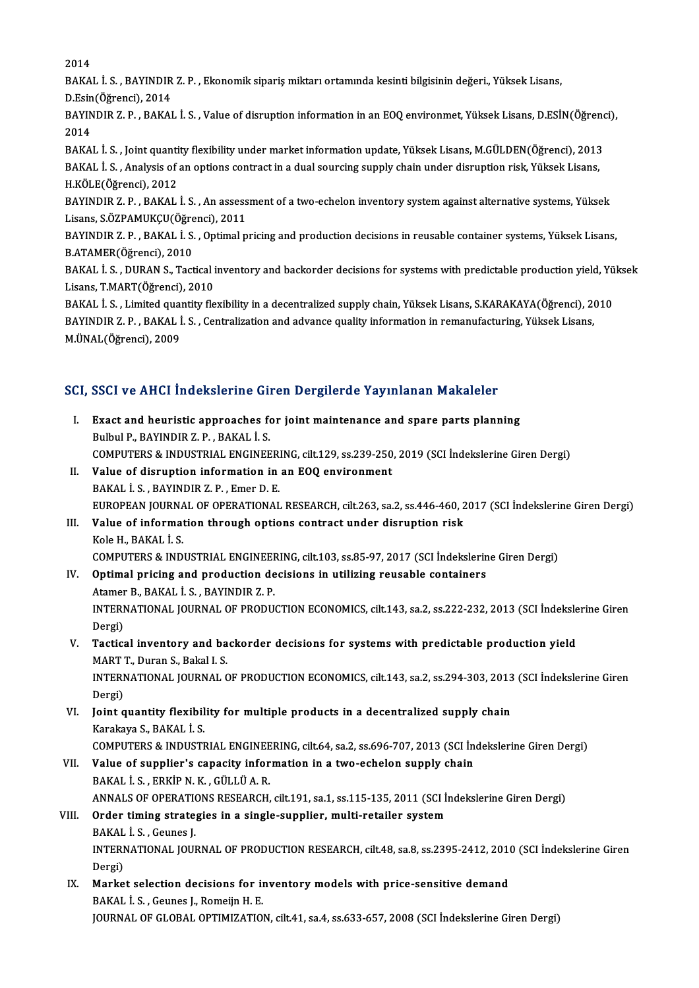2014

2014<br>BAKAL İ. S. , BAYINDIR Z. P. , Ekonomik sipariş miktarı ortamında kesinti bilgisinin değeri., Yüksek Lisans,<br>P. Fsin(Öğrengi), 2014 2014<br>BAKAL İ. S. , BAYINDIR<br>D.Esin(Öğrenci), 2014<br>BAYINDIR Z. B. BAKAL BAKAL İ. S. , BAYINDIR Z. P. , Ekonomik sipariş miktarı ortamında kesinti bilgisinin değeri., Yüksek Lisans,<br>D.Esin(Öğrenci), 2014<br>BAYINDIR Z. P. , BAKAL İ. S. , Value of disruption information in an EOQ environmet, Yüksek

D.Esin<br>BAYIN<br>2014<br>PAKA BAYINDIR Z. P. , BAKAL İ. S. , Value of disruption information in an EOQ environmet, Yüksek Lisans, D.ESİN(Öğrenc<br>2014<br>BAKAL İ. S. , Joint quantity flexibility under market information update, Yüksek Lisans, M.GÜLDEN(Öğren

2014<br>BAKAL İ. S. , Joint quantity flexibility under market information update, Yüksek Lisans, M.GÜLDEN(Öğrenci), 2013<br>BAKAL İ. S. , Analysis of an options contract in a dual sourcing supply chain under disruption risk, Yük BAKAL İ. S., Analysis of an options contract in a dual sourcing supply chain under disruption risk, Yüksek Lisans, BAKAL İ. S. , Analysis of an options contract in a dual sourcing supply chain under disruption risk, Yüksek Lisans,<br>H.KÖLE(Öğrenci), 2012<br>BAYINDIR Z. P. , BAKAL İ. S. , An assessment of a two-echelon inventory system again

H.KÖLE(Öğrenci), 2012<br>BAYINDIR Z. P. , BAKAL İ. S. , An assess<br>Lisans, S.ÖZPAMUKÇU(Öğrenci), 2011<br>BAYINDIR Z. B., BAKAL İ. S., Ontimal n BAYINDIR Z. P. , BAKAL İ. S. , An assessment of a two-echelon inventory system against alternative systems, Yüksek<br>Lisans, S.ÖZPAMUKÇU(Öğrenci), 2011<br>BAYINDIR Z. P. , BAKAL İ. S. , Optimal pricing and production decisions

Lisans, S.ÖZPAMUKÇU(Öğrenci), 2011<br>BAYINDIR Z. P. , BAKAL İ. S. , Optimal pricing and production decisions in reusable container systems, Yüksek Lisans,<br>B.ATAMER(Öğrenci), 2010 BAYINDIR Z. P. , BAKAL İ. S. , Optimal pricing and production decisions in reusable container systems, Yüksek Lisans,<br>B.ATAMER(Öğrenci), 2010<br>BAKAL İ. S. , DURAN S., Tactical inventory and backorder decisions for systems w

Lisans,T.MART(Öğrenci),2010 BAKAL İ. S. , DURAN S., Tactical inventory and backorder decisions for systems with predictable production yield, Yü<br>Lisans, T.MART(Öğrenci), 2010<br>BAKAL İ. S. , Limited quantity flexibility in a decentralized supply chain,

Lisans, T.MART(Öğrenci), 2010<br>BAKAL İ. S. , Limited quantity flexibility in a decentralized supply chain, Yüksek Lisans, S.KARAKAYA(Öğrenci), 2<br>BAYINDIR Z. P. , BAKAL İ. S. , Centralization and advance quality information BAKAL İ. S. , Limited quaı<br>BAYINDIR Z. P. , BAKAL İ<br>M.ÜNAL(Öğrenci), 2009

# <sub>M.UNAL(Ugrencı), 2009</sub><br>SCI, SSCI ve AHCI İndekslerine Giren Dergilerde Yayınlanan Makaleler

- CI, SSCI ve AHCI Indekslerine Giren Dergilerde Yayınlanan Makaleler<br>I. Exact and heuristic approaches for joint maintenance and spare parts planning<br>Rubul B BAYINDIR 7 B BAYALI S I. Exact and heuristic approaches for joint maintenance and spare parts planning<br>Bulbul P., BAYINDIR Z. P., BAKAL I. S. Exact and heuristic approaches for joint maintenance and spare parts planning<br>Bulbul P., BAYINDIR Z. P. , BAKAL İ. S.<br>COMPUTERS & INDUSTRIAL ENGINEERING, cilt.129, ss.239-250, 2019 (SCI İndekslerine Giren Dergi)<br>Value ef d Bulbul P., BAYINDIR Z. P., BAKAL İ. S.<br>COMPUTERS & INDUSTRIAL ENGINEERING, cilt.129, ss.239-250<br>II. Value of disruption information in an EOQ environment<br>PAKAL İ. S. PAYINDIR Z. B. Emer D. E COMPUTERS & INDUSTRIAL ENGINEER<br>Value of disruption information in<br>BAKAL İ.S., BAYINDIR Z.P., Emer D. E.<br>FUROPEAN JOURNAL OF OPERATIONAL Value of disruption information in an EOQ environment<br>BAKAL İ. S. , BAYINDIR Z. P. , Emer D. E.<br>EUROPEAN JOURNAL OF OPERATIONAL RESEARCH, cilt.263, sa.2, ss.446-460, 2017 (SCI İndekslerine Giren Dergi)<br>Value ef information BAKAL İ. S. , BAYINDIR Z. P. , Emer D. E.<br>EUROPEAN JOURNAL OF OPERATIONAL RESEARCH, cilt.263, sa.2, ss.446-460, 2<br>III. Value of information through options contract under disruption risk<br>Kele H. BAKAL İ. S EUROPEAN JOURNA<br>Value of informat<br>Kole H., BAKAL İ. S.<br>COMBUTERS & IND Value of information through options contract under disruption risk<br>Kole H., BAKAL İ. S.<br>COMPUTERS & INDUSTRIAL ENGINEERING, cilt.103, ss.85-97, 2017 (SCI İndekslerine Giren Dergi)<br>Ontimal prising and production desisions Kole H., BAKAL İ. S.<br>COMPUTERS & INDUSTRIAL ENGINEERING, cilt.103, ss.85-97, 2017 (SCI İndekslerin<br>IV. Optimal pricing and production decisions in utilizing reusable containers<br>Ataman B. BAKAL İ. S. BAYINDIR Z. B. COMPUTERS & INDUSTRIAL ENGINEER<br>Optimal pricing and production de<br>Atamer B., BAKAL İ.S. , BAYINDIR Z. P.<br>INTERNATIONAL JOURNAL OF PRODU Optimal pricing and production decisions in utilizing reusable containers<br>Atamer B., BAKAL İ. S. , BAYINDIR Z. P.<br>INTERNATIONAL JOURNAL OF PRODUCTION ECONOMICS, cilt.143, sa.2, ss.222-232, 2013 (SCI İndekslerine Giren<br>Pers Atamer<br>INTERI<br>Dergi)<br>Testis: INTERNATIONAL JOURNAL OF PRODUCTION ECONOMICS, cilt.143, sa.2, ss.222-232, 2013 (SCI indeksle<br>Dergi)<br>V. Tactical inventory and backorder decisions for systems with predictable production yield<br>MARTT, Duran S. Bakal J. S.
- Dergi)<br><mark>Tactical inventory and ba</mark><br>MART T., Duran S., Bakal I. S.<br>INTERNATIONAL IQURNAL G INTERNATIONAL JOURNAL OF PRODUCTION ECONOMICS, cilt.143, sa.2, ss.294-303, 2013 (SCI İndekslerine Giren<br>Dergi) MART T., Duran S., Bakal I. S. INTERNATIONAL JOURNAL OF PRODUCTION ECONOMICS, cilt.143, sa.2, ss.294-303, 2013<br>Dergi)<br>VI. Joint quantity flexibility for multiple products in a decentralized supply chain<br>Karakaya S. BAKAL İ. S.

Dergi)<br>Joint quantity flexibil<br>Karakaya S., BAKAL İ. S.<br>COMBUTERS & INDUSTI Joint quantity flexibility for multiple products in a decentralized supply chain<br>Karakaya S., BAKAL İ. S.<br>COMPUTERS & INDUSTRIAL ENGINEERING, cilt.64, sa.2, ss.696-707, 2013 (SCI İndekslerine Giren Dergi)<br>Value of sunnliar

Karakaya S., BAKAL İ. S.<br>COMPUTERS & INDUSTRIAL ENGINEERING, cilt.64, sa.2, ss.696-707, 2013 (SCI İn<br>VII. Value of supplier's capacity information in a two-echelon supply chain<br>BAKAL İ. S. . ERKİP N. K. . GÜLLÜ A. R. COMPUTERS & INDUSTRIAL ENGINEE<br>Value of supplier's capacity infor<br>BAKAL İ. S. , ERKİP N. K. , GÜLLÜ A. R.<br>ANNALS OF OPERATIONS PESEARCH ANNALS OF OPERATIONS RESEARCH, cilt.191, sa.1, ss.115-135, 2011 (SCI İndekslerine Giren Dergi) BAKAL İ. S., ERKİP N. K., GÜLLÜ A. R.<br>ANNALS OF OPERATIONS RESEARCH, cilt.191, sa.1, ss.115-135, 2011 (SCI İn<br>VIII. Order timing strategies in a single-supplier, multi-retailer system<br>PAKAL İ. S. Gaunes I

## ANNALS OF OPERATION<br>Order timing strate;<br>BAKAL İ.S., Geunes J. INTERNATIONAL JOURNAL OF PRODUCTION RESEARCH, cilt.48, sa.8, ss.2395-2412, 2010 (SCI İndekslerine Giren<br>Dergi) BAKAL İ S , Geunes J INTERNATIONAL JOURNAL OF PRODUCTION RESEARCH, cilt.48, sa.8, ss.2395-2412, 2010<br>Dergi)<br>IX. Market selection decisions for inventory models with price-sensitive demand<br>PAKALLS, Councel, Bomein H, F

Dergi)<br>Market selection decisions for in<br>BAKAL İ.S., Geunes J., Romeijn H. E.<br>JOUPMAL OE CLOBAL OPTIMIZATIO BAKAL İ. S. , Geunes J., Romeijn H. E.<br>JOURNAL OF GLOBAL OPTIMIZATION, cilt.41, sa.4, ss.633-657, 2008 (SCI İndekslerine Giren Dergi)